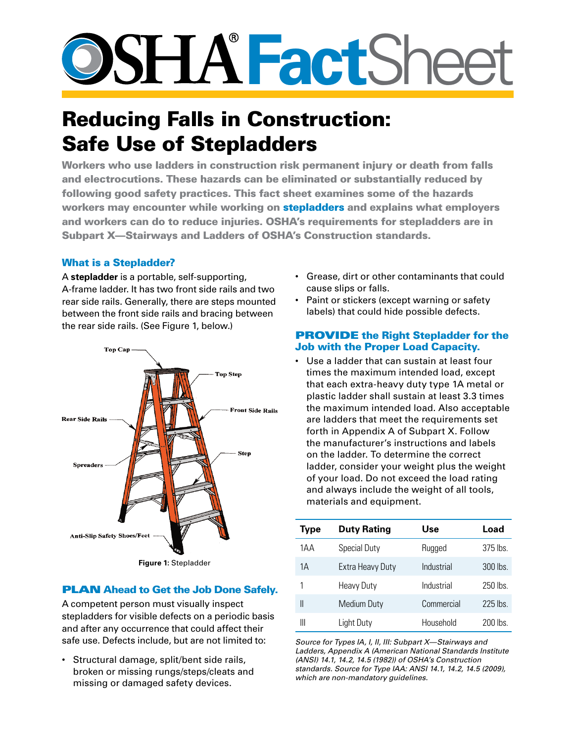# **SSHATactSheet**

# Reducing Falls in Construction: Safe Use of Stepladders

Workers who use ladders in construction risk permanent injury or death from falls and electrocutions. These hazards can be eliminated or substantially reduced by following good safety practices. This fact sheet examines some of the hazards workers may encounter while working on stepladders and explains what employers and workers can do to reduce injuries. OSHA's requirements for stepladders are in Subpart X—Stairways and Ladders of OSHA's Construction standards.

# What is a Stepladder?

A **stepladder** is a portable, self-supporting, A-frame ladder. It has two front side rails and two rear side rails. Generally, there are steps mounted between the front side rails and bracing between the rear side rails. (See Figure 1, below.)



# **PLAN Ahead to Get the Job Done Safely.**

A competent person must visually inspect stepladders for visible defects on a periodic basis and after any occurrence that could affect their safe use. Defects include, but are not limited to:

• Structural damage, split/bent side rails, broken or missing rungs/steps/cleats and missing or damaged safety devices.

- • Grease, dirt or other contaminants that could cause slips or falls.
- Paint or stickers (except warning or safety labels) that could hide possible defects.

# PROVIDE the Right Stepladder for the Job with the Proper Load Capacity.

• Use a ladder that can sustain at least four times the maximum intended load, except that each extra-heavy duty type 1A metal or plastic ladder shall sustain at least 3.3 times the maximum intended load. Also acceptable are ladders that meet the requirements set forth in Appendix A of Subpart X. Follow the manufacturer's instructions and labels on the ladder. To determine the correct ladder, consider your weight plus the weight of your load. Do not exceed the load rating and always include the weight of all tools, materials and equipment.

| <b>Type</b> | <b>Duty Rating</b>  | Use        | Load      |
|-------------|---------------------|------------|-----------|
| 1AA         | <b>Special Duty</b> | Rugged     | 375 lbs   |
| 1Α          | Extra Heavy Duty    | Industrial | $300$ lbs |
| 1           | <b>Heavy Duty</b>   | Industrial | $250$ lbs |
| Ш           | <b>Medium Duty</b>  | Commercial | $225$ lbs |
| Ш           | Light Duty          | Household  | 200 lbs.  |

*Source for Types IA, I, II, III: Subpart X—Stairways and Ladders, Appendix A (American National Standards Institute (ANSI) 14.1, 14.2, 14.5 (1982)) of OSHA's Construction standards. Source for Type IAA: ANSI 14.1, 14.2, 14.5 (2009), which are non-mandatory guidelines.*